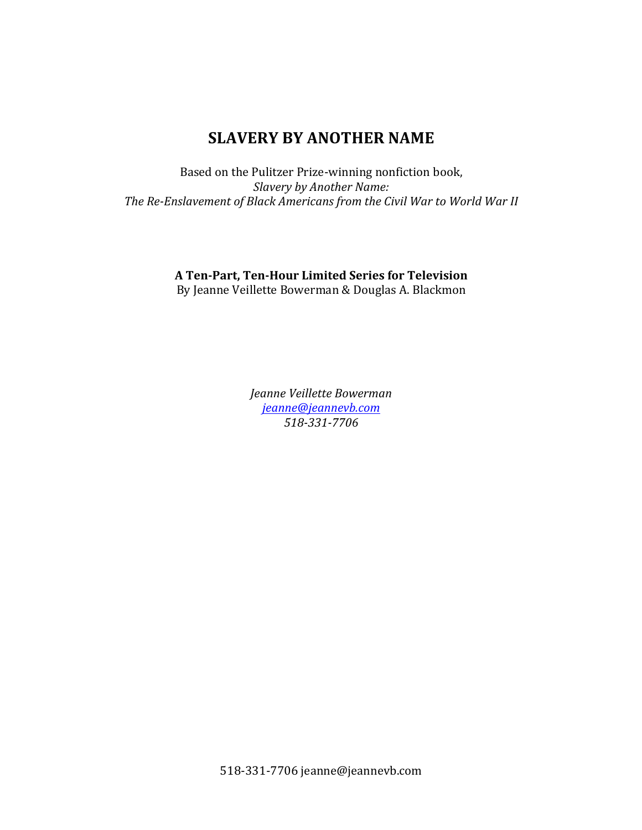# **SLAVERY BY ANOTHER NAME**

Based on the Pulitzer Prize-winning nonfiction book, *Slavery by Another Name:* The Re-Enslavement of Black Americans from the Civil War to World War II

# **A Ten-Part, Ten-Hour Limited Series for Television**

By Jeanne Veillette Bowerman & Douglas A. Blackmon

*Jeanne Veillette Bowerman jeanne@jeannevb.com 518-331-7706*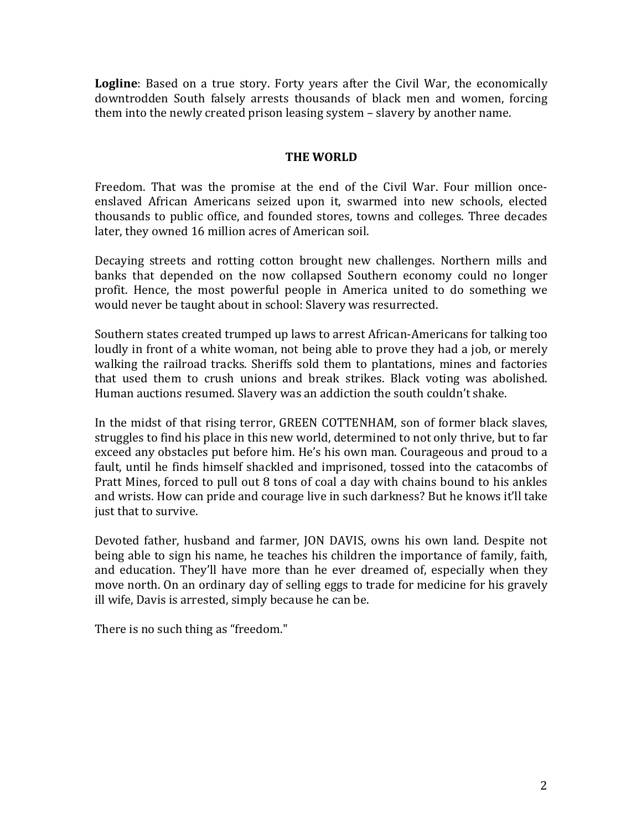**Logline**: Based on a true story. Forty years after the Civil War, the economically downtrodden South falsely arrests thousands of black men and women, forcing them into the newly created prison leasing system - slavery by another name.

## **THE WORLD**

Freedom. That was the promise at the end of the Civil War. Four million onceenslaved African Americans seized upon it, swarmed into new schools, elected thousands to public office, and founded stores, towns and colleges. Three decades later, they owned 16 million acres of American soil.

Decaying streets and rotting cotton brought new challenges. Northern mills and banks that depended on the now collapsed Southern economy could no longer profit. Hence, the most powerful people in America united to do something we would never be taught about in school: Slavery was resurrected.

Southern states created trumped up laws to arrest African-Americans for talking too loudly in front of a white woman, not being able to prove they had a job, or merely walking the railroad tracks. Sheriffs sold them to plantations, mines and factories that used them to crush unions and break strikes. Black voting was abolished. Human auctions resumed. Slavery was an addiction the south couldn't shake.

In the midst of that rising terror, GREEN COTTENHAM, son of former black slaves, struggles to find his place in this new world, determined to not only thrive, but to far exceed any obstacles put before him. He's his own man. Courageous and proud to a fault, until he finds himself shackled and imprisoned, tossed into the catacombs of Pratt Mines, forced to pull out 8 tons of coal a day with chains bound to his ankles and wrists. How can pride and courage live in such darkness? But he knows it'll take just that to survive.

Devoted father, husband and farmer, JON DAVIS, owns his own land. Despite not being able to sign his name, he teaches his children the importance of family, faith, and education. They'll have more than he ever dreamed of, especially when they move north. On an ordinary day of selling eggs to trade for medicine for his gravely ill wife, Davis is arrested, simply because he can be.

There is no such thing as "freedom."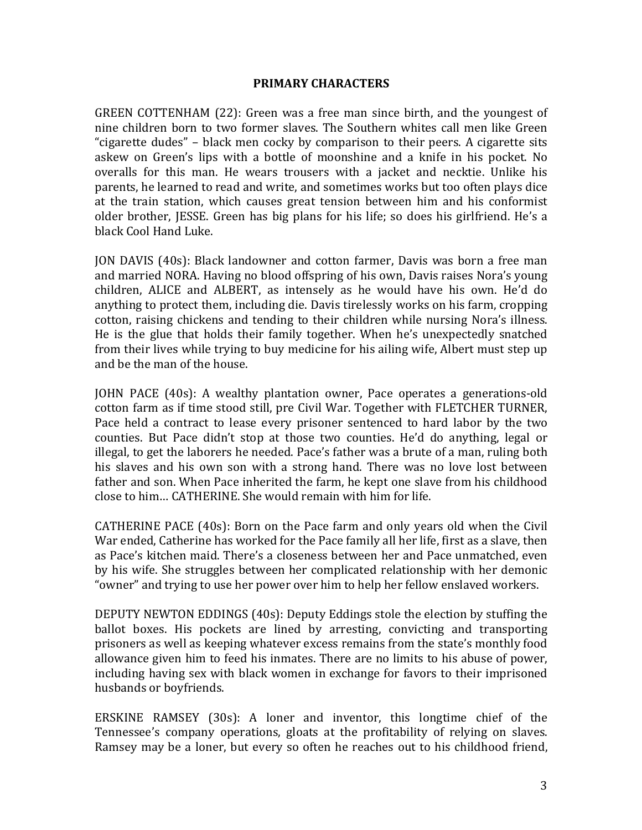#### **PRIMARY CHARACTERS**

GREEN COTTENHAM  $(22)$ : Green was a free man since birth, and the youngest of nine children born to two former slaves. The Southern whites call men like Green "cigarette dudes" – black men cocky by comparison to their peers. A cigarette sits askew on Green's lips with a bottle of moonshine and a knife in his pocket. No overalls for this man. He wears trousers with a jacket and necktie. Unlike his parents, he learned to read and write, and sometimes works but too often plays dice at the train station, which causes great tension between him and his conformist older brother, JESSE. Green has big plans for his life; so does his girlfriend. He's a black Cool Hand Luke.

JON DAVIS (40s): Black landowner and cotton farmer, Davis was born a free man and married NORA. Having no blood offspring of his own, Davis raises Nora's young children, ALICE and ALBERT, as intensely as he would have his own. He'd do anything to protect them, including die. Davis tirelessly works on his farm, cropping cotton, raising chickens and tending to their children while nursing Nora's illness. He is the glue that holds their family together. When he's unexpectedly snatched from their lives while trying to buy medicine for his ailing wife, Albert must step up and be the man of the house.

JOHN PACE (40s): A wealthy plantation owner, Pace operates a generations-old cotton farm as if time stood still, pre Civil War. Together with FLETCHER TURNER, Pace held a contract to lease every prisoner sentenced to hard labor by the two counties. But Pace didn't stop at those two counties. He'd do anything, legal or illegal, to get the laborers he needed. Pace's father was a brute of a man, ruling both his slaves and his own son with a strong hand. There was no love lost between father and son. When Pace inherited the farm, he kept one slave from his childhood close to him... CATHERINE. She would remain with him for life.

CATHERINE PACE  $(40s)$ : Born on the Pace farm and only years old when the Civil War ended, Catherine has worked for the Pace family all her life, first as a slave, then as Pace's kitchen maid. There's a closeness between her and Pace unmatched, even by his wife. She struggles between her complicated relationship with her demonic "owner" and trying to use her power over him to help her fellow enslaved workers.

DEPUTY NEWTON EDDINGS (40s): Deputy Eddings stole the election by stuffing the ballot boxes. His pockets are lined by arresting, convicting and transporting prisoners as well as keeping whatever excess remains from the state's monthly food allowance given him to feed his inmates. There are no limits to his abuse of power, including having sex with black women in exchange for favors to their imprisoned husbands or boyfriends.

ERSKINE RAMSEY  $(30s)$ : A loner and inventor, this longtime chief of the Tennessee's company operations, gloats at the profitability of relying on slaves. Ramsey may be a loner, but every so often he reaches out to his childhood friend,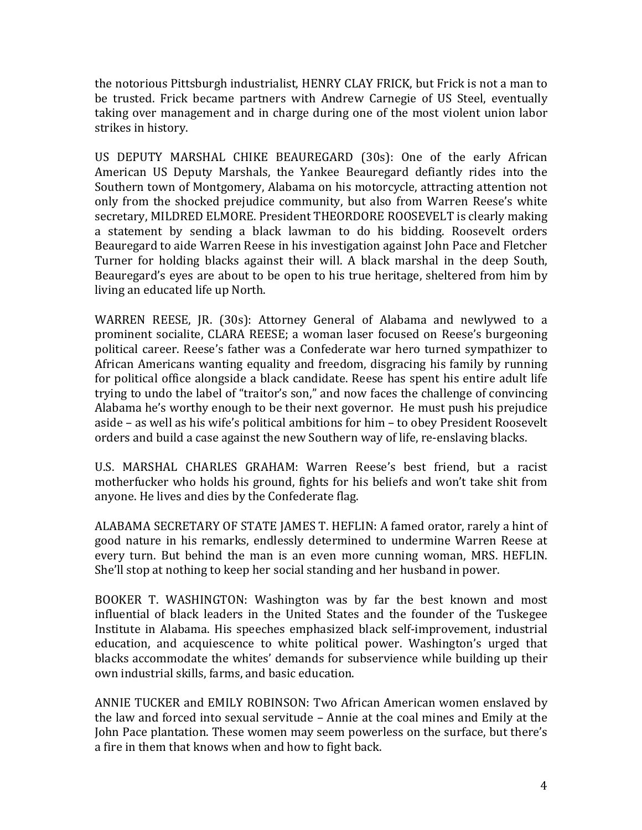the notorious Pittsburgh industrialist, HENRY CLAY FRICK, but Frick is not a man to be trusted. Frick became partners with Andrew Carnegie of US Steel, eventually taking over management and in charge during one of the most violent union labor strikes in history.

US DEPUTY MARSHAL CHIKE BEAUREGARD (30s): One of the early African American US Deputy Marshals, the Yankee Beauregard defiantly rides into the Southern town of Montgomery, Alabama on his motorcycle, attracting attention not only from the shocked prejudice community, but also from Warren Reese's white secretary, MILDRED ELMORE. President THEORDORE ROOSEVELT is clearly making a statement by sending a black lawman to do his bidding. Roosevelt orders Beauregard to aide Warren Reese in his investigation against John Pace and Fletcher Turner for holding blacks against their will. A black marshal in the deep South, Beauregard's eyes are about to be open to his true heritage, sheltered from him by living an educated life up North.

WARREN REESE, JR. (30s): Attorney General of Alabama and newlywed to a prominent socialite, CLARA REESE; a woman laser focused on Reese's burgeoning political career. Reese's father was a Confederate war hero turned sympathizer to African Americans wanting equality and freedom, disgracing his family by running for political office alongside a black candidate. Reese has spent his entire adult life trying to undo the label of "traitor's son," and now faces the challenge of convincing Alabama he's worthy enough to be their next governor. He must push his prejudice aside – as well as his wife's political ambitions for him – to obey President Roosevelt orders and build a case against the new Southern way of life, re-enslaving blacks.

U.S. MARSHAL CHARLES GRAHAM: Warren Reese's best friend, but a racist motherfucker who holds his ground, fights for his beliefs and won't take shit from anyone. He lives and dies by the Confederate flag.

ALABAMA SECRETARY OF STATE JAMES T. HEFLIN: A famed orator, rarely a hint of good nature in his remarks, endlessly determined to undermine Warren Reese at every turn. But behind the man is an even more cunning woman, MRS. HEFLIN. She'll stop at nothing to keep her social standing and her husband in power.

BOOKER T. WASHINGTON: Washington was by far the best known and most influential of black leaders in the United States and the founder of the Tuskegee Institute in Alabama. His speeches emphasized black self-improvement, industrial education, and acquiescence to white political power. Washington's urged that blacks accommodate the whites' demands for subservience while building up their own industrial skills, farms, and basic education.

ANNIE TUCKER and EMILY ROBINSON: Two African American women enslaved by the law and forced into sexual servitude - Annie at the coal mines and Emily at the John Pace plantation. These women may seem powerless on the surface, but there's a fire in them that knows when and how to fight back.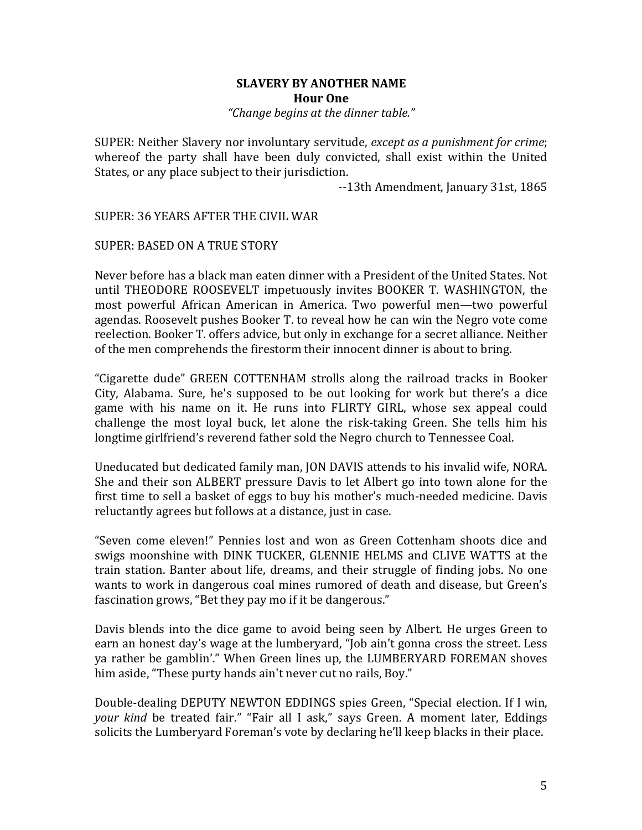## **SLAVERY BY ANOTHER NAME Hour One** *"Change begins at the dinner table."*

SUPER: Neither Slavery nor involuntary servitude, *except as a punishment for crime*; whereof the party shall have been duly convicted, shall exist within the United States, or any place subject to their jurisdiction.

--13th Amendment, January 31st, 1865

SUPER: 36 YEARS AFTER THE CIVIL WAR

## SUPER: BASED ON A TRUE STORY

Never before has a black man eaten dinner with a President of the United States. Not until THEODORE ROOSEVELT impetuously invites BOOKER T. WASHINGTON, the most powerful African American in America. Two powerful men—two powerful agendas. Roosevelt pushes Booker T. to reveal how he can win the Negro vote come reelection. Booker T. offers advice, but only in exchange for a secret alliance. Neither of the men comprehends the firestorm their innocent dinner is about to bring.

"Cigarette dude" GREEN COTTENHAM strolls along the railroad tracks in Booker City, Alabama. Sure, he's supposed to be out looking for work but there's a dice game with his name on it. He runs into FLIRTY GIRL, whose sex appeal could challenge the most loyal buck, let alone the risk-taking Green. She tells him his longtime girlfriend's reverend father sold the Negro church to Tennessee Coal.

Uneducated but dedicated family man, JON DAVIS attends to his invalid wife, NORA. She and their son ALBERT pressure Davis to let Albert go into town alone for the first time to sell a basket of eggs to buy his mother's much-needed medicine. Davis reluctantly agrees but follows at a distance, just in case.

"Seven come eleven!" Pennies lost and won as Green Cottenham shoots dice and swigs moonshine with DINK TUCKER, GLENNIE HELMS and CLIVE WATTS at the train station. Banter about life, dreams, and their struggle of finding jobs. No one wants to work in dangerous coal mines rumored of death and disease, but Green's fascination grows, "Bet they pay mo if it be dangerous."

Davis blends into the dice game to avoid being seen by Albert. He urges Green to earn an honest day's wage at the lumberyard, "Job ain't gonna cross the street. Less ya rather be gamblin'." When Green lines up, the LUMBERYARD FOREMAN shoves him aside, "These purty hands ain't never cut no rails, Boy."

Double-dealing DEPUTY NEWTON EDDINGS spies Green, "Special election. If I win, your kind be treated fair." "Fair all I ask," says Green. A moment later, Eddings solicits the Lumberyard Foreman's vote by declaring he'll keep blacks in their place.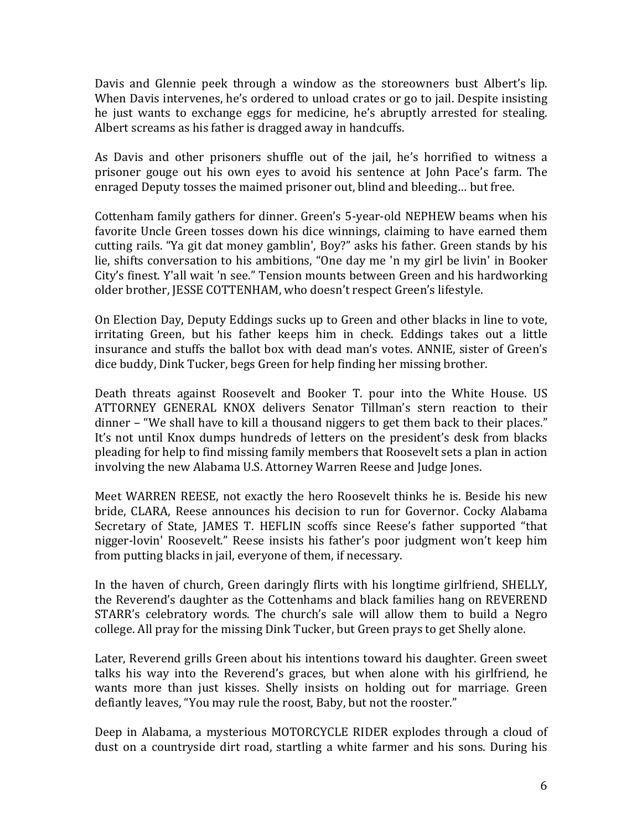Davis and Glennie peek through a window as the storeowners bust Albert's lip. When Davis intervenes, he's ordered to unload crates or go to jail. Despite insisting he just wants to exchange eggs for medicine, he's abruptly arrested for stealing. Albert screams as his father is dragged away in handcuffs.

As Davis and other prisoners shuffle out of the jail, he's horrified to witness a prisoner gouge out his own eyes to avoid his sentence at John Pace's farm. The enraged Deputy tosses the maimed prisoner out, blind and bleeding... but free.

Cottenham family gathers for dinner. Green's 5-year-old NEPHEW beams when his favorite Uncle Green tosses down his dice winnings, claiming to have earned them cutting rails. "Ya git dat money gamblin', Boy?" asks his father. Green stands by his lie, shifts conversation to his ambitions, "One day me 'n my girl be livin' in Booker City's finest. Y'all wait 'n see." Tension mounts between Green and his hardworking older brother, JESSE COTTENHAM, who doesn't respect Green's lifestyle.

On Election Day, Deputy Eddings sucks up to Green and other blacks in line to vote, irritating Green, but his father keeps him in check. Eddings takes out a little insurance and stuffs the ballot box with dead man's votes. ANNIE, sister of Green's dice buddy, Dink Tucker, begs Green for help finding her missing brother.

Death threats against Roosevelt and Booker T. pour into the White House. US ATTORNEY GENERAL KNOX delivers Senator Tillman's stern reaction to their dinner – "We shall have to kill a thousand niggers to get them back to their places." It's not until Knox dumps hundreds of letters on the president's desk from blacks pleading for help to find missing family members that Roosevelt sets a plan in action involving the new Alabama U.S. Attorney Warren Reese and Judge Jones.

Meet WARREN REESE, not exactly the hero Roosevelt thinks he is. Beside his new bride, CLARA, Reese announces his decision to run for Governor. Cocky Alabama Secretary of State, JAMES T. HEFLIN scoffs since Reese's father supported "that nigger-lovin' Roosevelt." Reese insists his father's poor judgment won't keep him from putting blacks in jail, everyone of them, if necessary.

In the haven of church, Green daringly flirts with his longtime girlfriend, SHELLY, the Reverend's daughter as the Cottenhams and black families hang on REVEREND STARR's celebratory words. The church's sale will allow them to build a Negro college. All pray for the missing Dink Tucker, but Green prays to get Shelly alone.

Later, Reverend grills Green about his intentions toward his daughter. Green sweet talks his way into the Reverend's graces, but when alone with his girlfriend, he wants more than just kisses. Shelly insists on holding out for marriage. Green defiantly leaves, "You may rule the roost, Baby, but not the rooster."

Deep in Alabama, a mysterious MOTORCYCLE RIDER explodes through a cloud of dust on a countryside dirt road, startling a white farmer and his sons. During his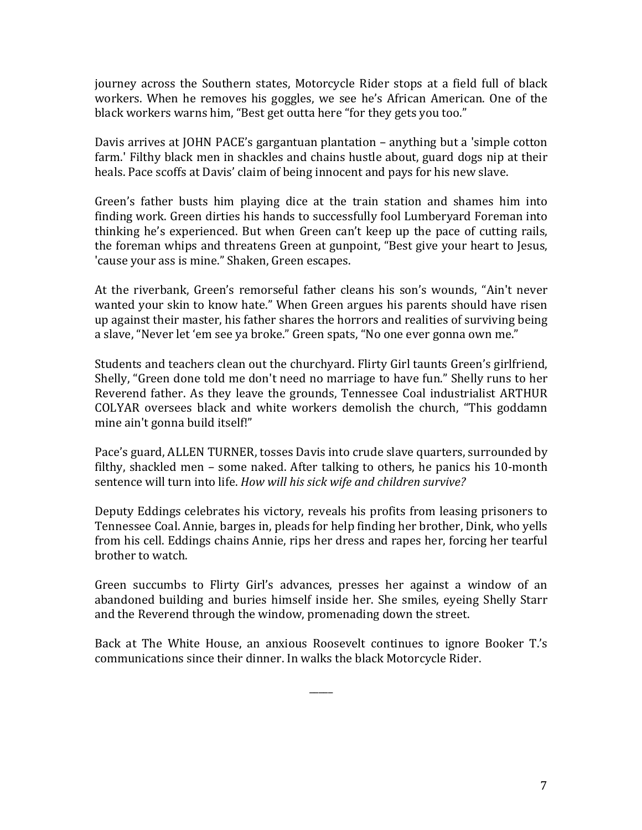journey across the Southern states, Motorcycle Rider stops at a field full of black workers. When he removes his goggles, we see he's African American. One of the black workers warns him, "Best get outta here "for they gets you too."

Davis arrives at JOHN PACE's gargantuan plantation – anything but a 'simple cotton farm.' Filthy black men in shackles and chains hustle about, guard dogs nip at their heals. Pace scoffs at Davis' claim of being innocent and pays for his new slave.

Green's father busts him playing dice at the train station and shames him into finding work. Green dirties his hands to successfully fool Lumberyard Foreman into thinking he's experienced. But when Green can't keep up the pace of cutting rails, the foreman whips and threatens Green at gunpoint, "Best give your heart to Jesus, 'cause your ass is mine." Shaken, Green escapes.

At the riverbank, Green's remorseful father cleans his son's wounds, "Ain't never wanted your skin to know hate." When Green argues his parents should have risen up against their master, his father shares the horrors and realities of surviving being a slave, "Never let 'em see ya broke." Green spats, "No one ever gonna own me."

Students and teachers clean out the churchyard. Flirty Girl taunts Green's girlfriend, Shelly, "Green done told me don't need no marriage to have fun." Shelly runs to her Reverend father. As they leave the grounds, Tennessee Coal industrialist ARTHUR COLYAR oversees black and white workers demolish the church, "This goddamn mine ain't gonna build itself!"

Pace's guard, ALLEN TURNER, tosses Davis into crude slave quarters, surrounded by filthy, shackled men – some naked. After talking to others, he panics his 10-month sentence will turn into life. *How will his sick wife and children survive?* 

Deputy Eddings celebrates his victory, reveals his profits from leasing prisoners to Tennessee Coal. Annie, barges in, pleads for help finding her brother, Dink, who yells from his cell. Eddings chains Annie, rips her dress and rapes her, forcing her tearful brother to watch.

Green succumbs to Flirty Girl's advances, presses her against a window of an abandoned building and buries himself inside her. She smiles, eveing Shelly Starr and the Reverend through the window, promenading down the street.

Back at The White House, an anxious Roosevelt continues to ignore Booker T.'s communications since their dinner. In walks the black Motorcycle Rider.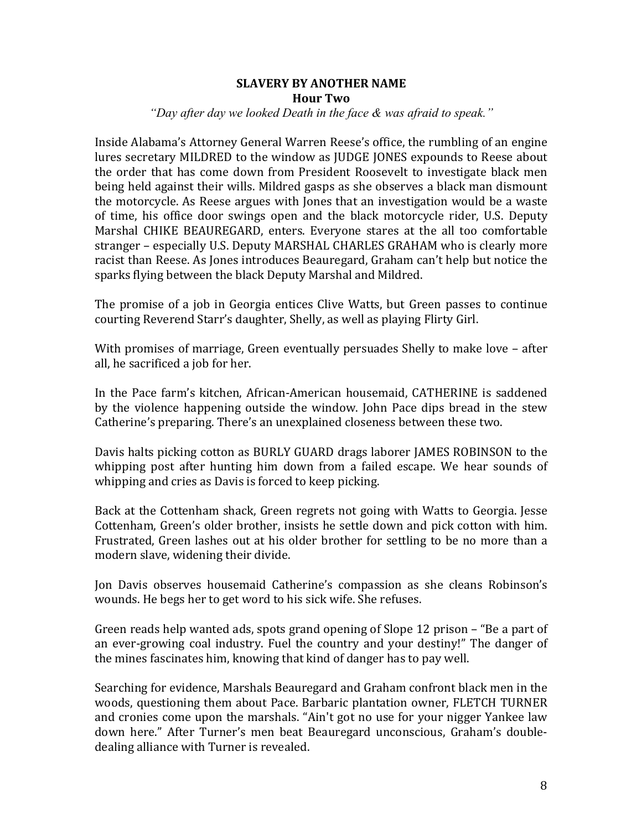# **SLAVERY BY ANOTHER NAME Hour Two**

## *"Day after day we looked Death in the face & was afraid to speak."*

Inside Alabama's Attorney General Warren Reese's office, the rumbling of an engine lures secretary MILDRED to the window as IUDGE IONES expounds to Reese about the order that has come down from President Roosevelt to investigate black men being held against their wills. Mildred gasps as she observes a black man dismount the motorcycle. As Reese argues with Jones that an investigation would be a waste of time, his office door swings open and the black motorcycle rider, U.S. Deputy Marshal CHIKE BEAUREGARD, enters. Everyone stares at the all too comfortable stranger – especially U.S. Deputy MARSHAL CHARLES GRAHAM who is clearly more racist than Reese. As Jones introduces Beauregard, Graham can't help but notice the sparks flying between the black Deputy Marshal and Mildred.

The promise of a job in Georgia entices Clive Watts, but Green passes to continue courting Reverend Starr's daughter, Shelly, as well as playing Flirty Girl.

With promises of marriage, Green eventually persuades Shelly to make love  $-$  after all, he sacrificed a job for her.

In the Pace farm's kitchen, African-American housemaid, CATHERINE is saddened by the violence happening outside the window. John Pace dips bread in the stew Catherine's preparing. There's an unexplained closeness between these two.

Davis halts picking cotton as BURLY GUARD drags laborer JAMES ROBINSON to the whipping post after hunting him down from a failed escape. We hear sounds of whipping and cries as Davis is forced to keep picking.

Back at the Cottenham shack, Green regrets not going with Watts to Georgia. Jesse Cottenham, Green's older brother, insists he settle down and pick cotton with him. Frustrated, Green lashes out at his older brother for settling to be no more than a modern slave, widening their divide.

Jon Davis observes housemaid Catherine's compassion as she cleans Robinson's wounds. He begs her to get word to his sick wife. She refuses.

Green reads help wanted ads, spots grand opening of Slope 12 prison  $-$  "Be a part of an ever-growing coal industry. Fuel the country and your destiny!" The danger of the mines fascinates him, knowing that kind of danger has to pay well.

Searching for evidence, Marshals Beauregard and Graham confront black men in the woods, questioning them about Pace. Barbaric plantation owner, FLETCH TURNER and cronies come upon the marshals. "Ain't got no use for your nigger Yankee law down here." After Turner's men beat Beauregard unconscious, Graham's doubledealing alliance with Turner is revealed.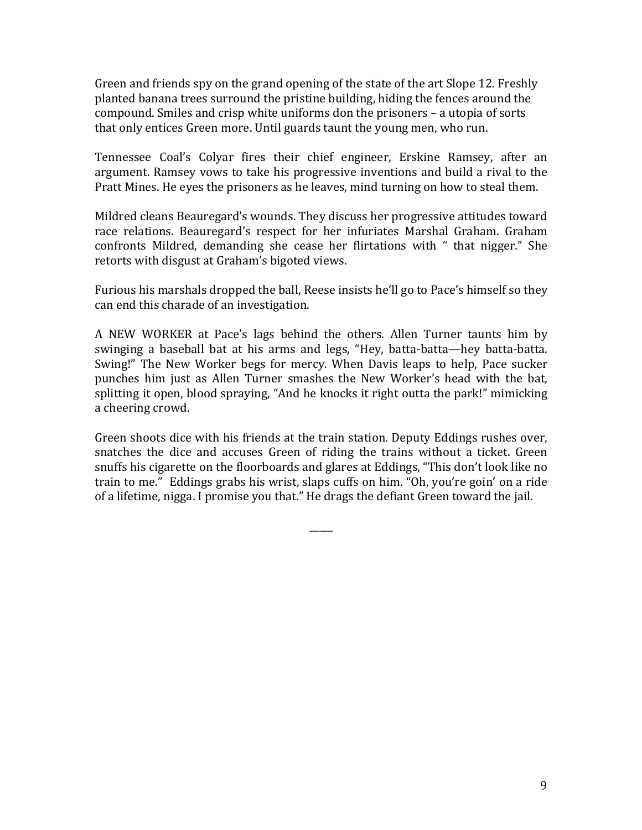Green and friends spy on the grand opening of the state of the art Slope 12. Freshly planted banana trees surround the pristine building, hiding the fences around the compound. Smiles and crisp white uniforms don the prisoners – a utopia of sorts that only entices Green more. Until guards taunt the young men, who run.

Tennessee Coal's Colyar fires their chief engineer, Erskine Ramsey, after an argument. Ramsey vows to take his progressive inventions and build a rival to the Pratt Mines. He eyes the prisoners as he leaves, mind turning on how to steal them.

Mildred cleans Beauregard's wounds. They discuss her progressive attitudes toward race relations. Beauregard's respect for her infuriates Marshal Graham. Graham confronts Mildred, demanding she cease her flirtations with " that nigger." She retorts with disgust at Graham's bigoted views.

Furious his marshals dropped the ball, Reese insists he'll go to Pace's himself so they can end this charade of an investigation.

A NEW WORKER at Pace's lags behind the others. Allen Turner taunts him by swinging a baseball bat at his arms and legs, "Hey, batta-batta—hey batta-batta. Swing!" The New Worker begs for mercy. When Davis leaps to help, Pace sucker punches him just as Allen Turner smashes the New Worker's head with the bat, splitting it open, blood spraying, "And he knocks it right outta the park!" mimicking a cheering crowd.

Green shoots dice with his friends at the train station. Deputy Eddings rushes over, snatches the dice and accuses Green of riding the trains without a ticket. Green snuffs his cigarette on the floorboards and glares at Eddings, "This don't look like no train to me." Eddings grabs his wrist, slaps cuffs on him. "Oh, you're goin' on a ride of a lifetime, nigga. I promise you that." He drags the defiant Green toward the jail.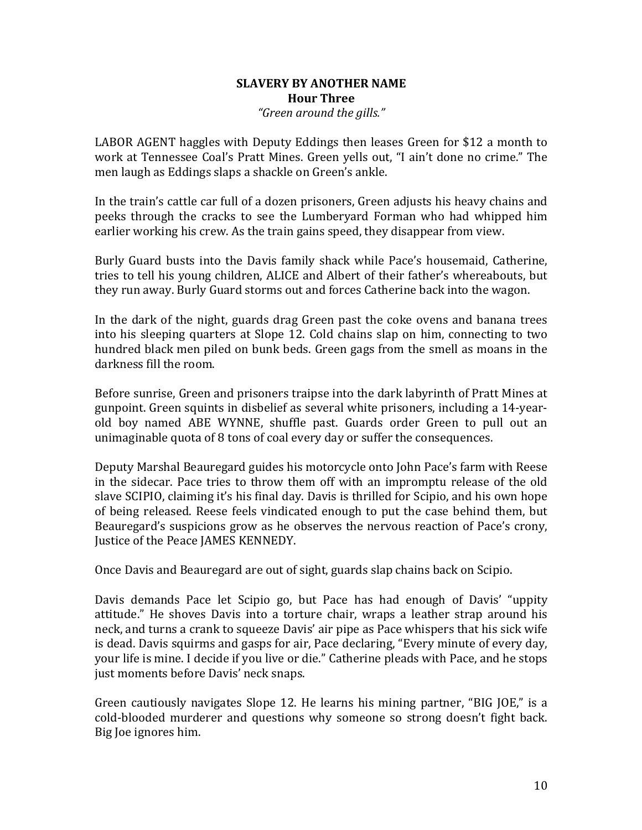## **SLAVERY BY ANOTHER NAME Hour Three** *"Green around the gills."*

LABOR AGENT haggles with Deputy Eddings then leases Green for \$12 a month to work at Tennessee Coal's Pratt Mines. Green yells out, "I ain't done no crime." The men laugh as Eddings slaps a shackle on Green's ankle.

In the train's cattle car full of a dozen prisoners, Green adjusts his heavy chains and peeks through the cracks to see the Lumberyard Forman who had whipped him earlier working his crew. As the train gains speed, they disappear from view.

Burly Guard busts into the Davis family shack while Pace's housemaid, Catherine, tries to tell his young children, ALICE and Albert of their father's whereabouts, but they run away. Burly Guard storms out and forces Catherine back into the wagon.

In the dark of the night, guards drag Green past the coke ovens and banana trees into his sleeping quarters at Slope 12. Cold chains slap on him, connecting to two hundred black men piled on bunk beds. Green gags from the smell as moans in the darkness fill the room.

Before sunrise, Green and prisoners traipse into the dark labyrinth of Pratt Mines at gunpoint. Green squints in disbelief as several white prisoners, including a 14-yearold boy named ABE WYNNE, shuffle past. Guards order Green to pull out an unimaginable quota of 8 tons of coal every day or suffer the consequences.

Deputy Marshal Beauregard guides his motorcycle onto John Pace's farm with Reese in the sidecar. Pace tries to throw them off with an impromptu release of the old slave SCIPIO, claiming it's his final day. Davis is thrilled for Scipio, and his own hope of being released. Reese feels vindicated enough to put the case behind them, but Beauregard's suspicions grow as he observes the nervous reaction of Pace's crony, Justice of the Peace JAMES KENNEDY.

Once Davis and Beauregard are out of sight, guards slap chains back on Scipio.

Davis demands Pace let Scipio go, but Pace has had enough of Davis' "uppity attitude." He shoves Davis into a torture chair, wraps a leather strap around his neck, and turns a crank to squeeze Davis' air pipe as Pace whispers that his sick wife is dead. Davis squirms and gasps for air, Pace declaring, "Every minute of every day, your life is mine. I decide if you live or die." Catherine pleads with Pace, and he stops just moments before Davis' neck snaps.

Green cautiously navigates Slope 12. He learns his mining partner, "BIG JOE," is a cold-blooded murderer and questions why someone so strong doesn't fight back. Big Joe ignores him.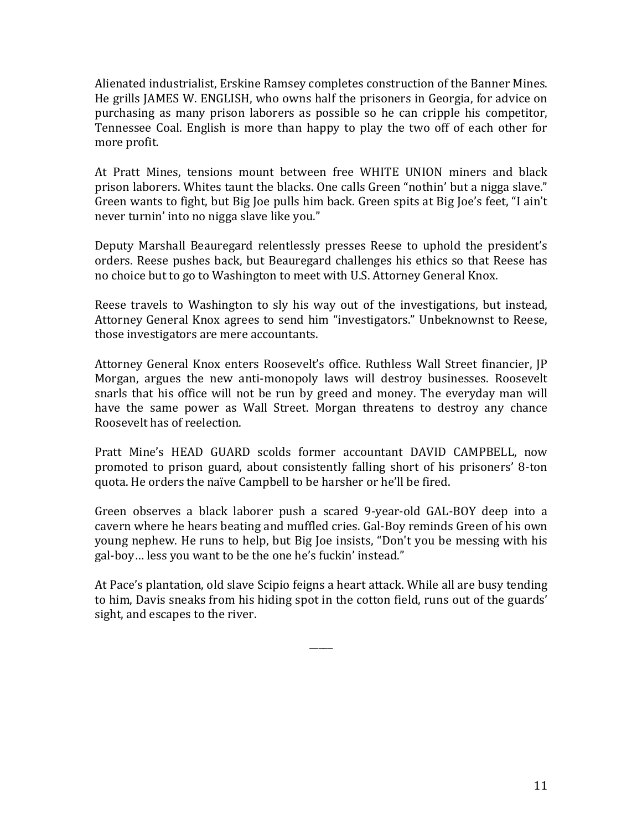Alienated industrialist, Erskine Ramsey completes construction of the Banner Mines. He grills JAMES W. ENGLISH, who owns half the prisoners in Georgia, for advice on purchasing as many prison laborers as possible so he can cripple his competitor, Tennessee Coal. English is more than happy to play the two off of each other for more profit.

At Pratt Mines, tensions mount between free WHITE UNION miners and black prison laborers. Whites taunt the blacks. One calls Green "nothin' but a nigga slave." Green wants to fight, but Big Joe pulls him back. Green spits at Big Joe's feet, "I ain't never turnin' into no nigga slave like you."

Deputy Marshall Beauregard relentlessly presses Reese to uphold the president's orders. Reese pushes back, but Beauregard challenges his ethics so that Reese has no choice but to go to Washington to meet with U.S. Attorney General Knox.

Reese travels to Washington to sly his way out of the investigations, but instead, Attorney General Knox agrees to send him "investigators." Unbeknownst to Reese, those investigators are mere accountants.

Attorney General Knox enters Roosevelt's office. Ruthless Wall Street financier, JP Morgan, argues the new anti-monopoly laws will destroy businesses. Roosevelt snarls that his office will not be run by greed and money. The everyday man will have the same power as Wall Street. Morgan threatens to destroy any chance Roosevelt has of reelection.

Pratt Mine's HEAD GUARD scolds former accountant DAVID CAMPBELL, now promoted to prison guard, about consistently falling short of his prisoners' 8-ton quota. He orders the naïve Campbell to be harsher or he'll be fired.

Green observes a black laborer push a scared 9-year-old GAL-BOY deep into a cavern where he hears beating and muffled cries. Gal-Boy reminds Green of his own young nephew. He runs to help, but Big Joe insists, "Don't you be messing with his gal-boy... less you want to be the one he's fuckin' instead."

At Pace's plantation, old slave Scipio feigns a heart attack. While all are busy tending to him, Davis sneaks from his hiding spot in the cotton field, runs out of the guards' sight, and escapes to the river.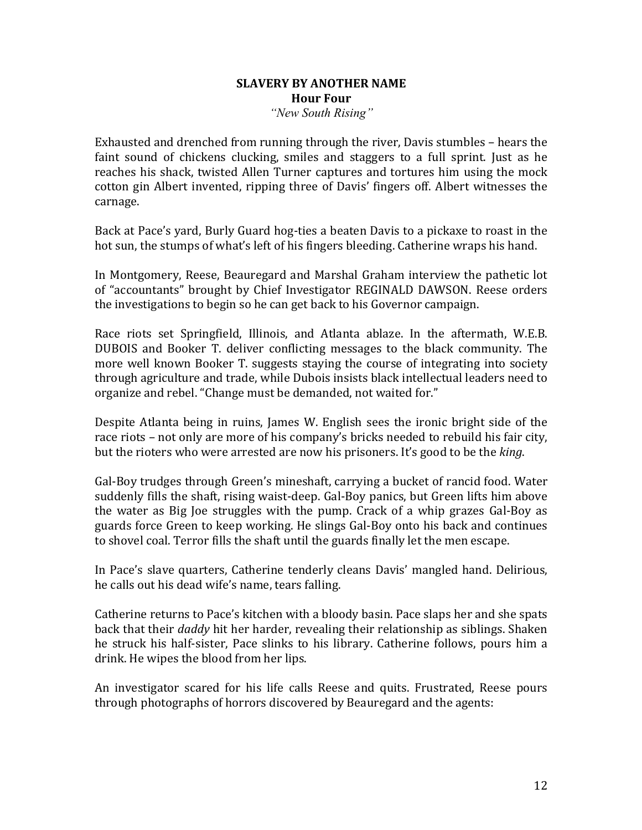## **SLAVERY BY ANOTHER NAME Hour** Four *"New South Rising"*

Exhausted and drenched from running through the river, Davis stumbles - hears the faint sound of chickens clucking, smiles and staggers to a full sprint. Just as he reaches his shack, twisted Allen Turner captures and tortures him using the mock cotton gin Albert invented, ripping three of Davis' fingers off. Albert witnesses the carnage. 

Back at Pace's yard, Burly Guard hog-ties a beaten Davis to a pickaxe to roast in the hot sun, the stumps of what's left of his fingers bleeding. Catherine wraps his hand.

In Montgomery, Reese, Beauregard and Marshal Graham interview the pathetic lot of "accountants" brought by Chief Investigator REGINALD DAWSON. Reese orders the investigations to begin so he can get back to his Governor campaign.

Race riots set Springfield, Illinois, and Atlanta ablaze. In the aftermath, W.E.B. DUBOIS and Booker T. deliver conflicting messages to the black community. The more well known Booker T. suggests staying the course of integrating into society through agriculture and trade, while Dubois insists black intellectual leaders need to organize and rebel. "Change must be demanded, not waited for."

Despite Atlanta being in ruins, James W. English sees the ironic bright side of the race riots – not only are more of his company's bricks needed to rebuild his fair city, but the rioters who were arrested are now his prisoners. It's good to be the *king*.

Gal-Boy trudges through Green's mineshaft, carrying a bucket of rancid food. Water suddenly fills the shaft, rising waist-deep. Gal-Boy panics, but Green lifts him above the water as Big Joe struggles with the pump. Crack of a whip grazes Gal-Boy as guards force Green to keep working. He slings Gal-Boy onto his back and continues to shovel coal. Terror fills the shaft until the guards finally let the men escape.

In Pace's slave quarters, Catherine tenderly cleans Davis' mangled hand. Delirious, he calls out his dead wife's name, tears falling.

Catherine returns to Pace's kitchen with a bloody basin. Pace slaps her and she spats back that their *daddy* hit her harder, revealing their relationship as siblings. Shaken he struck his half-sister, Pace slinks to his library. Catherine follows, pours him a drink. He wipes the blood from her lips.

An investigator scared for his life calls Reese and quits. Frustrated, Reese pours through photographs of horrors discovered by Beauregard and the agents: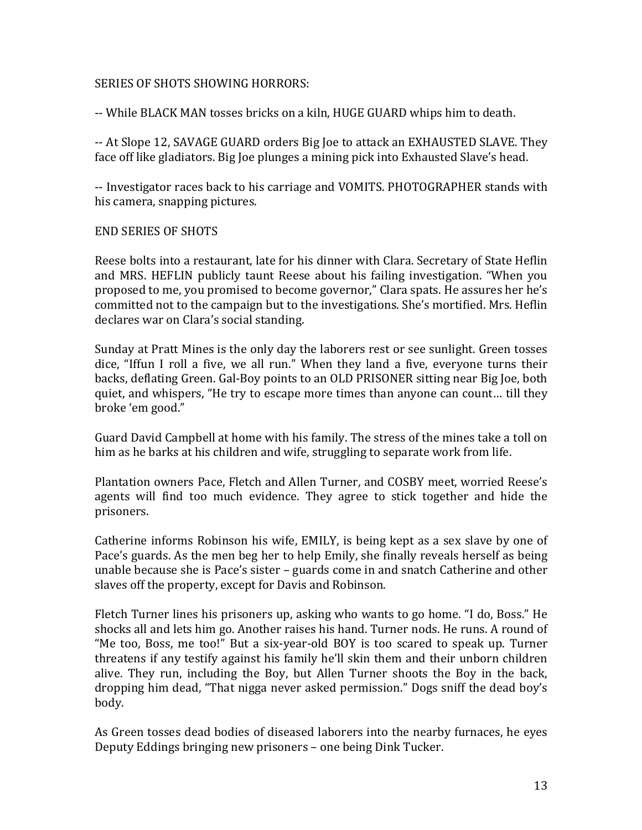# SERIES OF SHOTS SHOWING HORRORS:

-- While BLACK MAN tosses bricks on a kiln, HUGE GUARD whips him to death.

-- At Slope 12, SAVAGE GUARD orders Big Joe to attack an EXHAUSTED SLAVE. They face off like gladiators. Big Joe plunges a mining pick into Exhausted Slave's head.

-- Investigator races back to his carriage and VOMITS. PHOTOGRAPHER stands with his camera, snapping pictures.

## END SERIES OF SHOTS

Reese bolts into a restaurant, late for his dinner with Clara. Secretary of State Heflin and MRS. HEFLIN publicly taunt Reese about his failing investigation. "When you proposed to me, you promised to become governor," Clara spats. He assures her he's committed not to the campaign but to the investigations. She's mortified. Mrs. Heflin declares war on Clara's social standing.

Sunday at Pratt Mines is the only day the laborers rest or see sunlight. Green tosses dice, "Iffun I roll a five, we all run." When they land a five, everyone turns their backs, deflating Green. Gal-Boy points to an OLD PRISONER sitting near Big Joe, both quiet, and whispers, "He try to escape more times than anyone can count... till they broke 'em good."

Guard David Campbell at home with his family. The stress of the mines take a toll on him as he barks at his children and wife, struggling to separate work from life.

Plantation owners Pace, Fletch and Allen Turner, and COSBY meet, worried Reese's agents will find too much evidence. They agree to stick together and hide the prisoners.

Catherine informs Robinson his wife, EMILY, is being kept as a sex slave by one of Pace's guards. As the men beg her to help Emily, she finally reveals herself as being unable because she is Pace's sister  $-$  guards come in and snatch Catherine and other slaves off the property, except for Davis and Robinson.

Fletch Turner lines his prisoners up, asking who wants to go home. "I do, Boss." He shocks all and lets him go. Another raises his hand. Turner nods. He runs. A round of "Me too, Boss, me too!" But a six-year-old BOY is too scared to speak up. Turner threatens if any testify against his family he'll skin them and their unborn children alive. They run, including the Boy, but Allen Turner shoots the Boy in the back, dropping him dead, "That nigga never asked permission." Dogs sniff the dead boy's body. 

As Green tosses dead bodies of diseased laborers into the nearby furnaces, he eyes Deputy Eddings bringing new prisoners – one being Dink Tucker.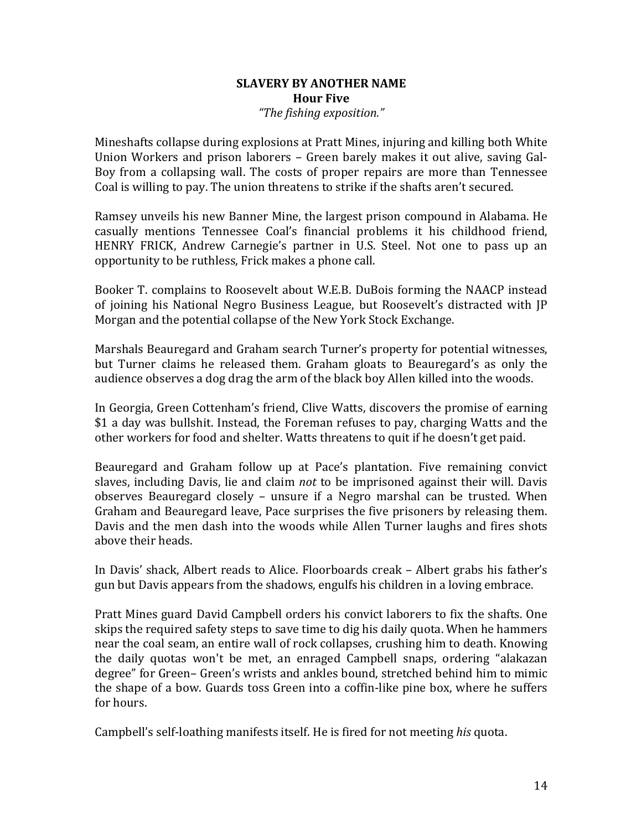## **SLAVERY BY ANOTHER NAME Hour Five** *"The fishing exposition."*

Mineshafts collapse during explosions at Pratt Mines, injuring and killing both White Union Workers and prison laborers – Green barely makes it out alive, saving Gal-Boy from a collapsing wall. The costs of proper repairs are more than Tennessee Coal is willing to pay. The union threatens to strike if the shafts aren't secured.

Ramsey unveils his new Banner Mine, the largest prison compound in Alabama. He casually mentions Tennessee Coal's financial problems it his childhood friend, HENRY FRICK, Andrew Carnegie's partner in U.S. Steel. Not one to pass up an opportunity to be ruthless, Frick makes a phone call.

Booker T. complains to Roosevelt about W.E.B. DuBois forming the NAACP instead of joining his National Negro Business League, but Roosevelt's distracted with IP Morgan and the potential collapse of the New York Stock Exchange.

Marshals Beauregard and Graham search Turner's property for potential witnesses, but Turner claims he released them. Graham gloats to Beauregard's as only the audience observes a dog drag the arm of the black boy Allen killed into the woods.

In Georgia, Green Cottenham's friend, Clive Watts, discovers the promise of earning \$1 a day was bullshit. Instead, the Foreman refuses to pay, charging Watts and the other workers for food and shelter. Watts threatens to quit if he doesn't get paid.

Beauregard and Graham follow up at Pace's plantation. Five remaining convict slaves, including Davis, lie and claim *not* to be imprisoned against their will. Davis observes Beauregard closely – unsure if a Negro marshal can be trusted. When Graham and Beauregard leave, Pace surprises the five prisoners by releasing them. Davis and the men dash into the woods while Allen Turner laughs and fires shots above their heads.

In Davis' shack, Albert reads to Alice. Floorboards creak - Albert grabs his father's gun but Davis appears from the shadows, engulfs his children in a loving embrace.

Pratt Mines guard David Campbell orders his convict laborers to fix the shafts. One skips the required safety steps to save time to dig his daily quota. When he hammers near the coal seam, an entire wall of rock collapses, crushing him to death. Knowing the daily quotas won't be met, an enraged Campbell snaps, ordering "alakazan degree" for Green– Green's wrists and ankles bound, stretched behind him to mimic the shape of a bow. Guards toss Green into a coffin-like pine box, where he suffers for hours.

Campbell's self-loathing manifests itself. He is fired for not meeting *his* quota.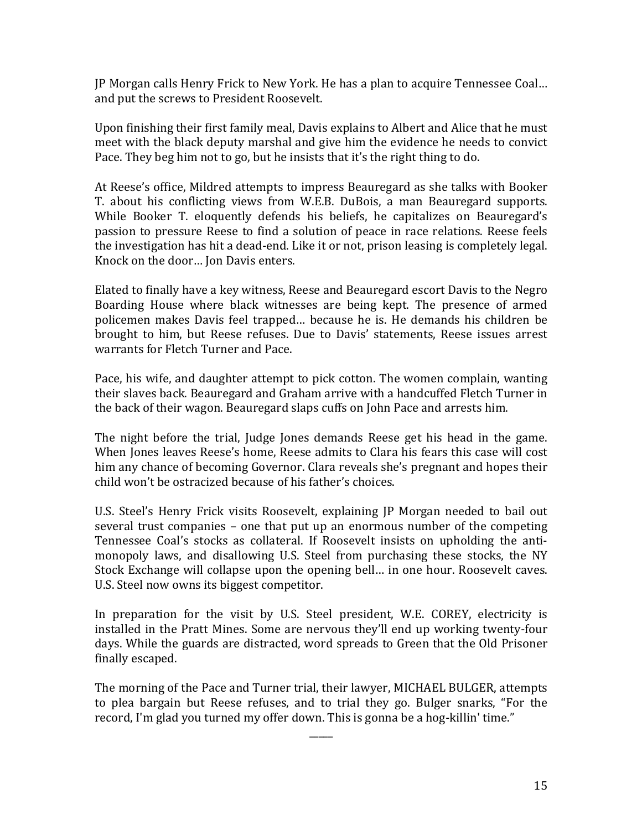JP Morgan calls Henry Frick to New York. He has a plan to acquire Tennessee Coal... and put the screws to President Roosevelt.

Upon finishing their first family meal, Davis explains to Albert and Alice that he must meet with the black deputy marshal and give him the evidence he needs to convict Pace. They beg him not to go, but he insists that it's the right thing to do.

At Reese's office, Mildred attempts to impress Beauregard as she talks with Booker T. about his conflicting views from W.E.B. DuBois, a man Beauregard supports. While Booker T. eloquently defends his beliefs, he capitalizes on Beauregard's passion to pressure Reese to find a solution of peace in race relations. Reese feels the investigation has hit a dead-end. Like it or not, prison leasing is completely legal. Knock on the door... Jon Davis enters.

Elated to finally have a key witness, Reese and Beauregard escort Davis to the Negro Boarding House where black witnesses are being kept. The presence of armed policemen makes Davis feel trapped... because he is. He demands his children be brought to him, but Reese refuses. Due to Davis' statements, Reese issues arrest warrants for Fletch Turner and Pace.

Pace, his wife, and daughter attempt to pick cotton. The women complain, wanting their slaves back. Beauregard and Graham arrive with a handcuffed Fletch Turner in the back of their wagon. Beauregard slaps cuffs on John Pace and arrests him.

The night before the trial, Judge Jones demands Reese get his head in the game. When Jones leaves Reese's home, Reese admits to Clara his fears this case will cost him any chance of becoming Governor. Clara reveals she's pregnant and hopes their child won't be ostracized because of his father's choices.

U.S. Steel's Henry Frick visits Roosevelt, explaining JP Morgan needed to bail out several trust companies  $-$  one that put up an enormous number of the competing Tennessee Coal's stocks as collateral. If Roosevelt insists on upholding the antimonopoly laws, and disallowing U.S. Steel from purchasing these stocks, the NY Stock Exchange will collapse upon the opening bell... in one hour. Roosevelt caves. U.S. Steel now owns its biggest competitor.

In preparation for the visit by U.S. Steel president, W.E. COREY, electricity is installed in the Pratt Mines. Some are nervous they'll end up working twenty-four days. While the guards are distracted, word spreads to Green that the Old Prisoner finally escaped.

The morning of the Pace and Turner trial, their lawyer, MICHAEL BULGER, attempts to plea bargain but Reese refuses, and to trial they go. Bulger snarks, "For the record, I'm glad you turned my offer down. This is gonna be a hog-killin' time."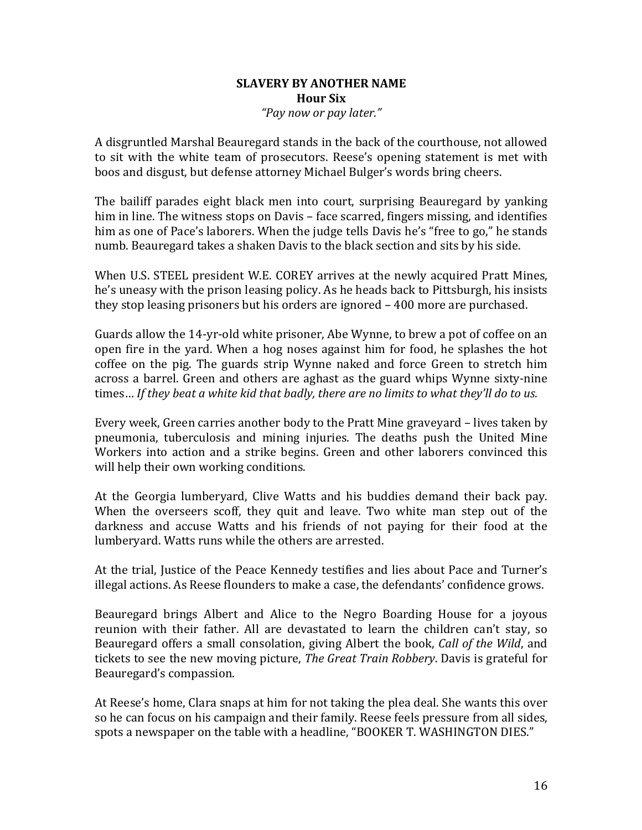## **SLAVERY BY ANOTHER NAME Hour Six** *"Pay now or pay later."*

A disgruntled Marshal Beauregard stands in the back of the courthouse, not allowed to sit with the white team of prosecutors. Reese's opening statement is met with boos and disgust, but defense attorney Michael Bulger's words bring cheers.

The bailiff parades eight black men into court, surprising Beauregard by yanking him in line. The witness stops on Davis – face scarred, fingers missing, and identifies him as one of Pace's laborers. When the judge tells Davis he's "free to go," he stands numb. Beauregard takes a shaken Davis to the black section and sits by his side.

When U.S. STEEL president W.E. COREY arrives at the newly acquired Pratt Mines, he's uneasy with the prison leasing policy. As he heads back to Pittsburgh, his insists they stop leasing prisoners but his orders are ignored  $-400$  more are purchased.

Guards allow the 14-yr-old white prisoner, Abe Wynne, to brew a pot of coffee on an open fire in the yard. When a hog noses against him for food, he splashes the hot coffee on the pig. The guards strip Wynne naked and force Green to stretch him across a barrel. Green and others are aghast as the guard whips Wynne sixty-nine times... If they beat a white kid that badly, there are no limits to what they'll do to us.

Every week, Green carries another body to the Pratt Mine graveyard – lives taken by pneumonia, tuberculosis and mining injuries. The deaths push the United Mine Workers into action and a strike begins. Green and other laborers convinced this will help their own working conditions.

At the Georgia lumberyard, Clive Watts and his buddies demand their back pay. When the overseers scoff, they quit and leave. Two white man step out of the darkness and accuse Watts and his friends of not paying for their food at the lumberyard. Watts runs while the others are arrested.

At the trial, Justice of the Peace Kennedy testifies and lies about Pace and Turner's illegal actions. As Reese flounders to make a case, the defendants' confidence grows.

Beauregard brings Albert and Alice to the Negro Boarding House for a joyous reunion with their father. All are devastated to learn the children can't stay, so Beauregard offers a small consolation, giving Albert the book, *Call of the Wild*, and tickets to see the new moving picture. *The Great Train Robbery*. Davis is grateful for Beauregard's compassion.

At Reese's home, Clara snaps at him for not taking the plea deal. She wants this over so he can focus on his campaign and their family. Reese feels pressure from all sides, spots a newspaper on the table with a headline, "BOOKER T. WASHINGTON DIES."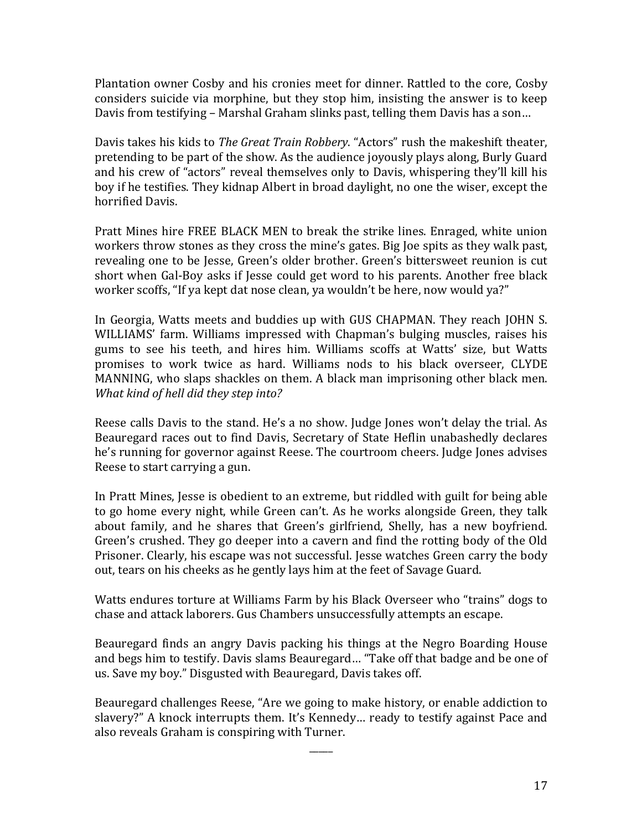Plantation owner Cosby and his cronies meet for dinner. Rattled to the core, Cosby considers suicide via morphine, but they stop him, insisting the answer is to keep Davis from testifying – Marshal Graham slinks past, telling them Davis has a son...

Davis takes his kids to *The Great Train Robbery*. "Actors" rush the makeshift theater, pretending to be part of the show. As the audience joyously plays along, Burly Guard and his crew of "actors" reveal themselves only to Davis, whispering they'll kill his boy if he testifies. They kidnap Albert in broad daylight, no one the wiser, except the horrified Davis.

Pratt Mines hire FREE BLACK MEN to break the strike lines. Enraged, white union workers throw stones as they cross the mine's gates. Big Joe spits as they walk past, revealing one to be Jesse, Green's older brother. Green's bittersweet reunion is cut short when Gal-Boy asks if Jesse could get word to his parents. Another free black worker scoffs, "If ya kept dat nose clean, ya wouldn't be here, now would ya?"

In Georgia, Watts meets and buddies up with GUS CHAPMAN. They reach JOHN S. WILLIAMS' farm. Williams impressed with Chapman's bulging muscles, raises his gums to see his teeth, and hires him. Williams scoffs at Watts' size, but Watts promises to work twice as hard. Williams nods to his black overseer, CLYDE MANNING, who slaps shackles on them. A black man imprisoning other black men. *What kind of hell did they step into?* 

Reese calls Davis to the stand. He's a no show. Judge Jones won't delay the trial. As Beauregard races out to find Davis, Secretary of State Heflin unabashedly declares he's running for governor against Reese. The courtroom cheers. Judge Jones advises Reese to start carrying a gun.

In Pratt Mines, Jesse is obedient to an extreme, but riddled with guilt for being able to go home every night, while Green can't. As he works alongside Green, they talk about family, and he shares that Green's girlfriend, Shelly, has a new boyfriend. Green's crushed. They go deeper into a cavern and find the rotting body of the Old Prisoner. Clearly, his escape was not successful. Jesse watches Green carry the body out, tears on his cheeks as he gently lays him at the feet of Savage Guard.

Watts endures torture at Williams Farm by his Black Overseer who "trains" dogs to chase and attack laborers. Gus Chambers unsuccessfully attempts an escape.

Beauregard finds an angry Davis packing his things at the Negro Boarding House and begs him to testify. Davis slams Beauregard... "Take off that badge and be one of us. Save my boy." Disgusted with Beauregard, Davis takes off.

Beauregard challenges Reese, "Are we going to make history, or enable addiction to slavery?" A knock interrupts them. It's Kennedy... ready to testify against Pace and also reveals Graham is conspiring with Turner.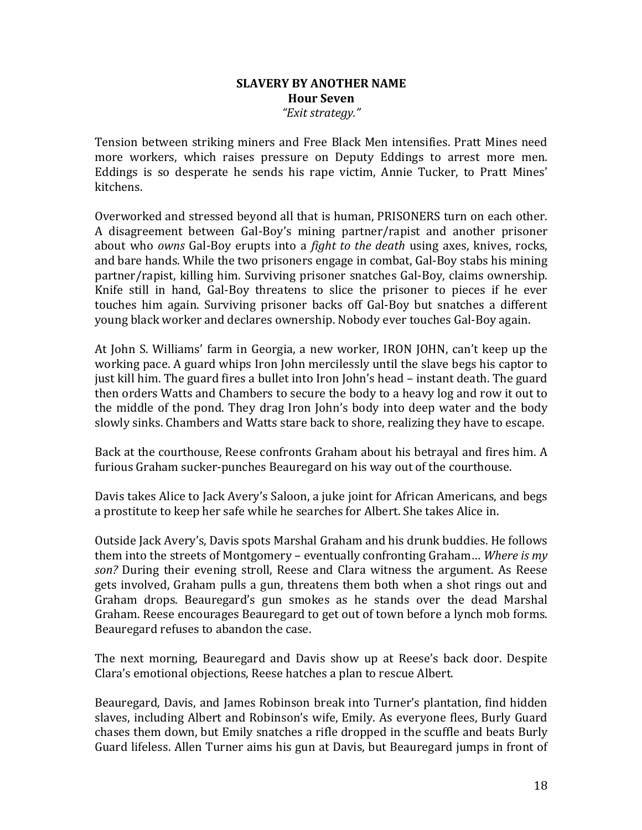## **SLAVERY BY ANOTHER NAME Hour Seven** *"Exit strategy."*

Tension between striking miners and Free Black Men intensifies. Pratt Mines need more workers, which raises pressure on Deputy Eddings to arrest more men. Eddings is so desperate he sends his rape victim, Annie Tucker, to Pratt Mines' kitchens.

Overworked and stressed beyond all that is human, PRISONERS turn on each other. A disagreement between Gal-Boy's mining partner/rapist and another prisoner about who *owns* Gal-Boy erupts into a *fight to the death* using axes, knives, rocks, and bare hands. While the two prisoners engage in combat, Gal-Boy stabs his mining partner/rapist, killing him. Surviving prisoner snatches Gal-Boy, claims ownership. Knife still in hand, Gal-Boy threatens to slice the prisoner to pieces if he ever touches him again. Surviving prisoner backs off Gal-Boy but snatches a different young black worker and declares ownership. Nobody ever touches Gal-Boy again.

At John S. Williams' farm in Georgia, a new worker, IRON JOHN, can't keep up the working pace. A guard whips Iron John mercilessly until the slave begs his captor to just kill him. The guard fires a bullet into Iron John's head – instant death. The guard then orders Watts and Chambers to secure the body to a heavy log and row it out to the middle of the pond. They drag Iron John's body into deep water and the body slowly sinks. Chambers and Watts stare back to shore, realizing they have to escape.

Back at the courthouse, Reese confronts Graham about his betrayal and fires him. A furious Graham sucker-punches Beauregard on his way out of the courthouse.

Davis takes Alice to Jack Avery's Saloon, a juke joint for African Americans, and begs a prostitute to keep her safe while he searches for Albert. She takes Alice in.

Outside Jack Avery's, Davis spots Marshal Graham and his drunk buddies. He follows them into the streets of Montgomery – eventually confronting Graham... Where is my son? During their evening stroll, Reese and Clara witness the argument. As Reese gets involved, Graham pulls a gun, threatens them both when a shot rings out and Graham drops. Beauregard's gun smokes as he stands over the dead Marshal Graham. Reese encourages Beauregard to get out of town before a lynch mob forms. Beauregard refuses to abandon the case.

The next morning, Beauregard and Davis show up at Reese's back door. Despite Clara's emotional objections, Reese hatches a plan to rescue Albert.

Beauregard, Davis, and James Robinson break into Turner's plantation, find hidden slaves, including Albert and Robinson's wife, Emily. As everyone flees, Burly Guard chases them down, but Emily snatches a rifle dropped in the scuffle and beats Burly Guard lifeless. Allen Turner aims his gun at Davis, but Beauregard jumps in front of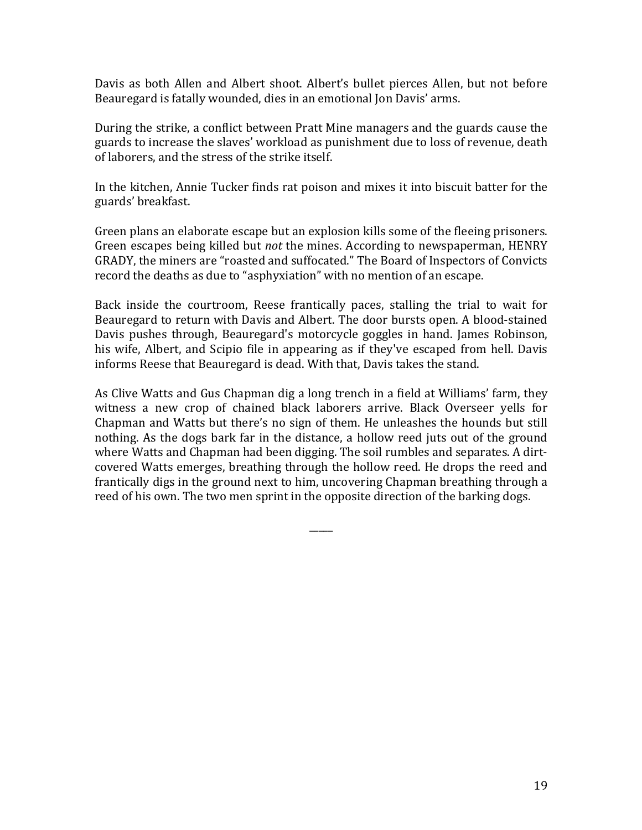Davis as both Allen and Albert shoot. Albert's bullet pierces Allen, but not before Beauregard is fatally wounded, dies in an emotional Jon Davis' arms.

During the strike, a conflict between Pratt Mine managers and the guards cause the guards to increase the slaves' workload as punishment due to loss of revenue, death of laborers, and the stress of the strike itself.

In the kitchen, Annie Tucker finds rat poison and mixes it into biscuit batter for the guards' breakfast. 

Green plans an elaborate escape but an explosion kills some of the fleeing prisoners. Green escapes being killed but *not* the mines. According to newspaperman, HENRY GRADY, the miners are "roasted and suffocated." The Board of Inspectors of Convicts record the deaths as due to "asphyxiation" with no mention of an escape.

Back inside the courtroom, Reese frantically paces, stalling the trial to wait for Beauregard to return with Davis and Albert. The door bursts open. A blood-stained Davis pushes through, Beauregard's motorcycle goggles in hand. James Robinson, his wife, Albert, and Scipio file in appearing as if they've escaped from hell. Davis informs Reese that Beauregard is dead. With that, Davis takes the stand.

As Clive Watts and Gus Chapman dig a long trench in a field at Williams' farm, they witness a new crop of chained black laborers arrive. Black Overseer yells for Chapman and Watts but there's no sign of them. He unleashes the hounds but still nothing. As the dogs bark far in the distance, a hollow reed juts out of the ground where Watts and Chapman had been digging. The soil rumbles and separates. A dirtcovered Watts emerges, breathing through the hollow reed. He drops the reed and frantically digs in the ground next to him, uncovering Chapman breathing through a reed of his own. The two men sprint in the opposite direction of the barking dogs.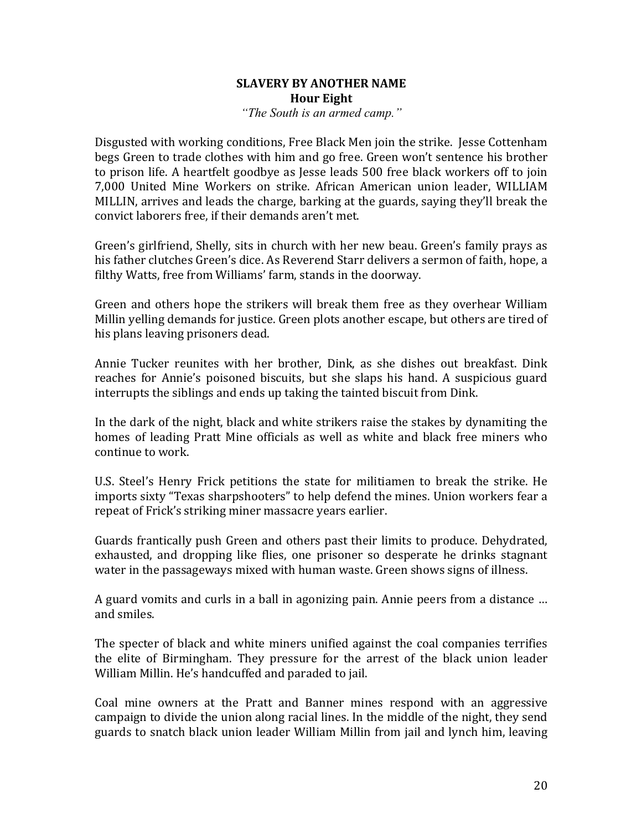## **SLAVERY BY ANOTHER NAME Hour Eight** *"The South is an armed camp."*

Disgusted with working conditions, Free Black Men join the strike. Jesse Cottenham begs Green to trade clothes with him and go free. Green won't sentence his brother to prison life. A heartfelt goodbye as Jesse leads 500 free black workers off to join 7,000 United Mine Workers on strike. African American union leader, WILLIAM MILLIN, arrives and leads the charge, barking at the guards, saying they'll break the convict laborers free, if their demands aren't met.

Green's girlfriend, Shelly, sits in church with her new beau. Green's family prays as his father clutches Green's dice. As Reverend Starr delivers a sermon of faith, hope, a filthy Watts, free from Williams' farm, stands in the doorway.

Green and others hope the strikers will break them free as they overhear William Millin yelling demands for justice. Green plots another escape, but others are tired of his plans leaving prisoners dead.

Annie Tucker reunites with her brother, Dink, as she dishes out breakfast. Dink reaches for Annie's poisoned biscuits, but she slaps his hand. A suspicious guard interrupts the siblings and ends up taking the tainted biscuit from Dink.

In the dark of the night, black and white strikers raise the stakes by dynamiting the homes of leading Pratt Mine officials as well as white and black free miners who continue to work.

U.S. Steel's Henry Frick petitions the state for militiamen to break the strike. He imports sixty "Texas sharpshooters" to help defend the mines. Union workers fear a repeat of Frick's striking miner massacre vears earlier.

Guards frantically push Green and others past their limits to produce. Dehydrated, exhausted, and dropping like flies, one prisoner so desperate he drinks stagnant water in the passageways mixed with human waste. Green shows signs of illness.

A guard vomits and curls in a ball in agonizing pain. Annie peers from a distance ... and smiles.

The specter of black and white miners unified against the coal companies terrifies the elite of Birmingham. They pressure for the arrest of the black union leader William Millin. He's handcuffed and paraded to jail.

Coal mine owners at the Pratt and Banner mines respond with an aggressive campaign to divide the union along racial lines. In the middle of the night, they send guards to snatch black union leader William Millin from jail and lynch him, leaving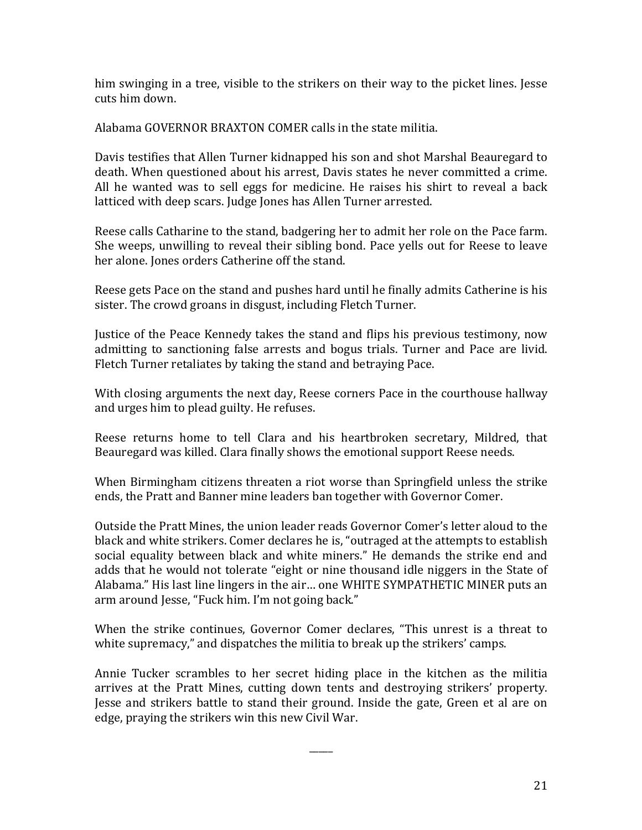him swinging in a tree, visible to the strikers on their way to the picket lines. Jesse cuts him down.

Alabama GOVERNOR BRAXTON COMER calls in the state militia.

Davis testifies that Allen Turner kidnapped his son and shot Marshal Beauregard to death. When questioned about his arrest, Davis states he never committed a crime. All he wanted was to sell eggs for medicine. He raises his shirt to reveal a back latticed with deep scars. Judge Jones has Allen Turner arrested.

Reese calls Catharine to the stand, badgering her to admit her role on the Pace farm. She weeps, unwilling to reveal their sibling bond. Pace yells out for Reese to leave her alone. Jones orders Catherine off the stand.

Reese gets Pace on the stand and pushes hard until he finally admits Catherine is his sister. The crowd groans in disgust, including Fletch Turner.

Justice of the Peace Kennedy takes the stand and flips his previous testimony, now admitting to sanctioning false arrests and bogus trials. Turner and Pace are livid. Fletch Turner retaliates by taking the stand and betraying Pace.

With closing arguments the next day, Reese corners Pace in the courthouse hallway and urges him to plead guilty. He refuses.

Reese returns home to tell Clara and his heartbroken secretary, Mildred, that Beauregard was killed. Clara finally shows the emotional support Reese needs.

When Birmingham citizens threaten a riot worse than Springfield unless the strike ends, the Pratt and Banner mine leaders ban together with Governor Comer.

Outside the Pratt Mines, the union leader reads Governor Comer's letter aloud to the black and white strikers. Comer declares he is, "outraged at the attempts to establish social equality between black and white miners." He demands the strike end and adds that he would not tolerate "eight or nine thousand idle niggers in the State of Alabama." His last line lingers in the air... one WHITE SYMPATHETIC MINER puts an arm around Jesse, "Fuck him. I'm not going back."

When the strike continues, Governor Comer declares, "This unrest is a threat to white supremacy," and dispatches the militia to break up the strikers' camps.

Annie Tucker scrambles to her secret hiding place in the kitchen as the militia arrives at the Pratt Mines, cutting down tents and destroying strikers' property. Jesse and strikers battle to stand their ground. Inside the gate, Green et al are on edge, praying the strikers win this new Civil War.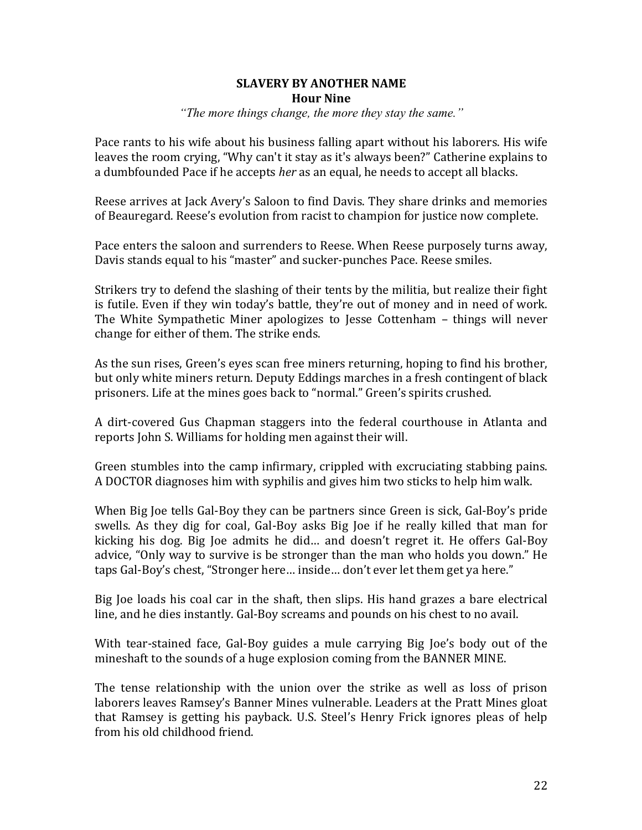# **SLAVERY BY ANOTHER NAME Hour Nine**

*"The more things change, the more they stay the same."*

Pace rants to his wife about his business falling apart without his laborers. His wife leaves the room crying, "Why can't it stay as it's always been?" Catherine explains to a dumbfounded Pace if he accepts *her* as an equal, he needs to accept all blacks.

Reese arrives at Jack Avery's Saloon to find Davis. They share drinks and memories of Beauregard. Reese's evolution from racist to champion for justice now complete.

Pace enters the saloon and surrenders to Reese. When Reese purposely turns away, Davis stands equal to his "master" and sucker-punches Pace. Reese smiles.

Strikers try to defend the slashing of their tents by the militia, but realize their fight is futile. Even if they win today's battle, they're out of money and in need of work. The White Sympathetic Miner apologizes to Jesse Cottenham – things will never change for either of them. The strike ends.

As the sun rises, Green's eyes scan free miners returning, hoping to find his brother, but only white miners return. Deputy Eddings marches in a fresh contingent of black prisoners. Life at the mines goes back to "normal." Green's spirits crushed.

A dirt-covered Gus Chapman staggers into the federal courthouse in Atlanta and reports John S. Williams for holding men against their will.

Green stumbles into the camp infirmary, crippled with excruciating stabbing pains. A DOCTOR diagnoses him with syphilis and gives him two sticks to help him walk.

When Big Joe tells Gal-Boy they can be partners since Green is sick, Gal-Boy's pride swells. As they dig for coal, Gal-Boy asks Big Joe if he really killed that man for kicking his dog. Big Joe admits he did... and doesn't regret it. He offers Gal-Boy advice, "Only way to survive is be stronger than the man who holds you down." He taps Gal-Boy's chest, "Stronger here... inside... don't ever let them get ya here."

Big Joe loads his coal car in the shaft, then slips. His hand grazes a bare electrical line, and he dies instantly. Gal-Boy screams and pounds on his chest to no avail.

With tear-stained face, Gal-Boy guides a mule carrying Big Joe's body out of the mineshaft to the sounds of a huge explosion coming from the BANNER MINE.

The tense relationship with the union over the strike as well as loss of prison laborers leaves Ramsey's Banner Mines vulnerable. Leaders at the Pratt Mines gloat that Ramsey is getting his payback. U.S. Steel's Henry Frick ignores pleas of help from his old childhood friend.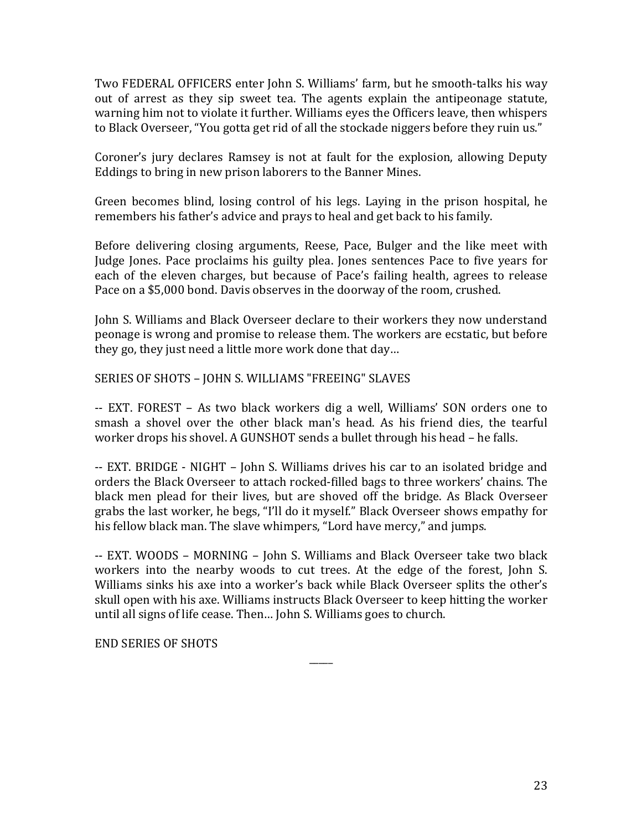Two FEDERAL OFFICERS enter John S. Williams' farm, but he smooth-talks his way out of arrest as they sip sweet tea. The agents explain the antipeonage statute, warning him not to violate it further. Williams eyes the Officers leave, then whispers to Black Overseer, "You gotta get rid of all the stockade niggers before they ruin us."

Coroner's jury declares Ramsey is not at fault for the explosion, allowing Deputy Eddings to bring in new prison laborers to the Banner Mines.

Green becomes blind, losing control of his legs. Laying in the prison hospital, he remembers his father's advice and prays to heal and get back to his family.

Before delivering closing arguments, Reese, Pace, Bulger and the like meet with Judge Jones. Pace proclaims his guilty plea. Jones sentences Pace to five years for each of the eleven charges, but because of Pace's failing health, agrees to release Pace on a \$5,000 bond. Davis observes in the doorway of the room, crushed.

John S. Williams and Black Overseer declare to their workers they now understand peonage is wrong and promise to release them. The workers are ecstatic, but before they go, they just need a little more work done that day...

SERIES OF SHOTS - JOHN S. WILLIAMS "FREEING" SLAVES

-- EXT. FOREST – As two black workers dig a well, Williams' SON orders one to smash a shovel over the other black man's head. As his friend dies, the tearful worker drops his shovel. A GUNSHOT sends a bullet through his head - he falls.

-- EXT. BRIDGE - NIGHT - John S. Williams drives his car to an isolated bridge and orders the Black Overseer to attach rocked-filled bags to three workers' chains. The black men plead for their lives, but are shoved off the bridge. As Black Overseer grabs the last worker, he begs, "I'll do it myself." Black Overseer shows empathy for his fellow black man. The slave whimpers, "Lord have mercy," and jumps.

-- EXT. WOODS - MORNING - John S. Williams and Black Overseer take two black workers into the nearby woods to cut trees. At the edge of the forest, John S. Williams sinks his axe into a worker's back while Black Overseer splits the other's skull open with his axe. Williams instructs Black Overseer to keep hitting the worker until all signs of life cease. Then... John S. Williams goes to church.

 $\overline{\phantom{a}}$ 

END SERIES OF SHOTS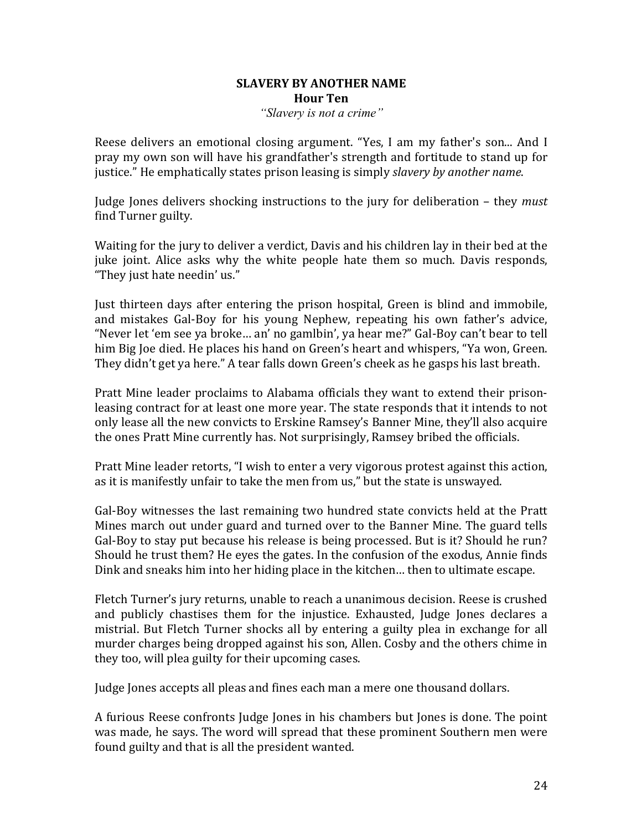## **SLAVERY BY ANOTHER NAME Hour Ten** *"Slavery is not a crime"*

Reese delivers an emotional closing argument. "Yes, I am my father's son... And I pray my own son will have his grandfather's strength and fortitude to stand up for justice." He emphatically states prison leasing is simply *slavery by another name*.

Judge Jones delivers shocking instructions to the jury for deliberation – they *must* find Turner guilty.

Waiting for the jury to deliver a verdict. Davis and his children lay in their bed at the juke joint. Alice asks why the white people hate them so much. Davis responds, "They just hate needin' us."

Just thirteen days after entering the prison hospital, Green is blind and immobile, and mistakes Gal-Boy for his young Nephew, repeating his own father's advice, "Never let 'em see ya broke... an' no gamlbin', ya hear me?" Gal-Boy can't bear to tell him Big Joe died. He places his hand on Green's heart and whispers, "Ya won, Green. They didn't get ya here." A tear falls down Green's cheek as he gasps his last breath.

Pratt Mine leader proclaims to Alabama officials they want to extend their prisonleasing contract for at least one more year. The state responds that it intends to not only lease all the new convicts to Erskine Ramsey's Banner Mine, they'll also acquire the ones Pratt Mine currently has. Not surprisingly, Ramsey bribed the officials.

Pratt Mine leader retorts, "I wish to enter a very vigorous protest against this action, as it is manifestly unfair to take the men from us," but the state is unswayed.

Gal-Boy witnesses the last remaining two hundred state convicts held at the Pratt Mines march out under guard and turned over to the Banner Mine. The guard tells Gal-Boy to stay put because his release is being processed. But is it? Should he run? Should he trust them? He eyes the gates. In the confusion of the exodus, Annie finds Dink and sneaks him into her hiding place in the kitchen... then to ultimate escape.

Fletch Turner's jury returns, unable to reach a unanimous decision. Reese is crushed and publicly chastises them for the injustice. Exhausted, Judge Jones declares a mistrial. But Fletch Turner shocks all by entering a guilty plea in exchange for all murder charges being dropped against his son, Allen. Cosby and the others chime in they too, will plea guilty for their upcoming cases.

Judge Jones accepts all pleas and fines each man a mere one thousand dollars.

A furious Reese confronts Judge Jones in his chambers but Jones is done. The point was made, he says. The word will spread that these prominent Southern men were found guilty and that is all the president wanted.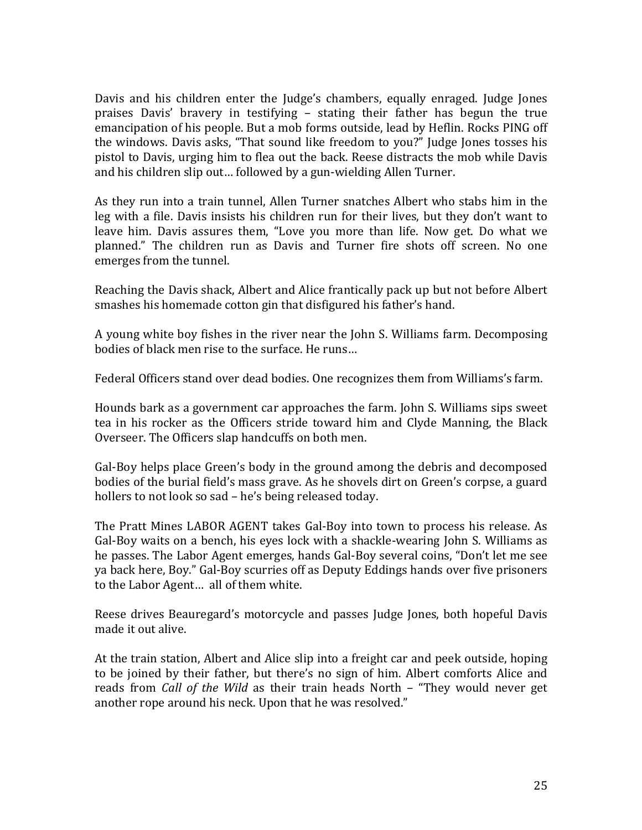Davis and his children enter the Judge's chambers, equally enraged. Judge Jones praises Davis' bravery in testifying - stating their father has begun the true emancipation of his people. But a mob forms outside, lead by Heflin. Rocks PING off the windows. Davis asks, "That sound like freedom to you?" Judge Jones tosses his pistol to Davis, urging him to flea out the back. Reese distracts the mob while Davis and his children slip out... followed by a gun-wielding Allen Turner.

As they run into a train tunnel, Allen Turner snatches Albert who stabs him in the leg with a file. Davis insists his children run for their lives, but they don't want to leave him. Davis assures them, "Love you more than life. Now get. Do what we planned." The children run as Davis and Turner fire shots off screen. No one emerges from the tunnel.

Reaching the Davis shack, Albert and Alice frantically pack up but not before Albert smashes his homemade cotton gin that disfigured his father's hand.

A young white boy fishes in the river near the John S. Williams farm. Decomposing bodies of black men rise to the surface. He runs...

Federal Officers stand over dead bodies. One recognizes them from Williams's farm.

Hounds bark as a government car approaches the farm. John S. Williams sips sweet tea in his rocker as the Officers stride toward him and Clyde Manning, the Black Overseer. The Officers slap handcuffs on both men.

Gal-Boy helps place Green's body in the ground among the debris and decomposed bodies of the burial field's mass grave. As he shovels dirt on Green's corpse, a guard hollers to not look so sad – he's being released today.

The Pratt Mines LABOR AGENT takes Gal-Boy into town to process his release. As Gal-Boy waits on a bench, his eyes lock with a shackle-wearing John S. Williams as he passes. The Labor Agent emerges, hands Gal-Boy several coins, "Don't let me see ya back here, Boy." Gal-Boy scurries off as Deputy Eddings hands over five prisoners to the Labor Agent... all of them white.

Reese drives Beauregard's motorcycle and passes Judge Jones, both hopeful Davis made it out alive.

At the train station, Albert and Alice slip into a freight car and peek outside, hoping to be joined by their father, but there's no sign of him. Albert comforts Alice and reads from *Call of the Wild* as their train heads North – "They would never get another rope around his neck. Upon that he was resolved."